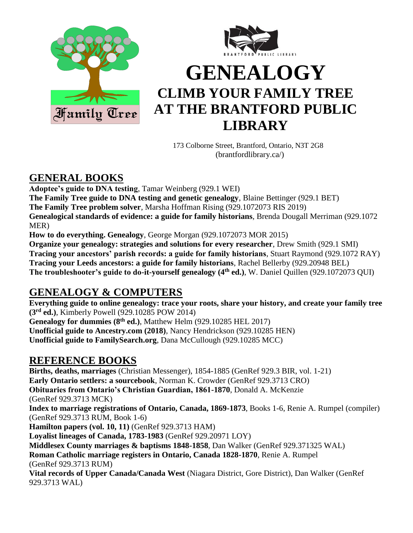



# **GENEALOGY CLIMB YOUR FAMILY TREE AT THE BRANTFORD PUBLIC LIBRARY**

 173 Colborne Street, Brantford, Ontario, N3T 2G8 (brantfordlibrary.ca/)

# **GENERAL BOOKS**

**Adoptee's guide to DNA testing**, Tamar Weinberg (929.1 WEI)

**The Family Tree guide to DNA testing and genetic genealogy**, Blaine Bettinger (929.1 BET) **The Family Tree problem solver**, Marsha Hoffman Rising (929.1072073 RIS 2019)

**Genealogical standards of evidence: a guide for family historians**, Brenda Dougall Merriman (929.1072 MER)

**How to do everything. Genealogy**, George Morgan (929.1072073 MOR 2015)

**Organize your genealogy: strategies and solutions for every researcher**, Drew Smith (929.1 SMI) **Tracing your ancestors' parish records: a guide for family historians**, Stuart Raymond (929.1072 RAY) **Tracing your Leeds ancestors: a guide for family historians**, Rachel Bellerby (929.20948 BEL) **The troubleshooter's guide to do-it-yourself genealogy (4th ed.)**, W. Daniel Quillen (929.1072073 QUI)

# **GENEALOGY & COMPUTERS**

**Everything guide to online genealogy: trace your roots, share your history, and create your family tree (3rd ed.)**, Kimberly Powell (929.10285 POW 2014)

Genealogy for dummies (8<sup>th</sup> ed.), Matthew Helm (929.10285 HEL 2017) **Unofficial guide to Ancestry.com (2018)**, Nancy Hendrickson (929.10285 HEN) **Unofficial guide to FamilySearch.org**, Dana McCullough (929.10285 MCC)

# **REFERENCE BOOKS**

**Births, deaths, marriages** (Christian Messenger), 1854-1885 (GenRef 929.3 BIR, vol. 1-21) **Early Ontario settlers: a sourcebook**, Norman K. Crowder (GenRef 929.3713 CRO) **Obituaries from Ontario's Christian Guardian, 1861-1870**, Donald A. McKenzie (GenRef 929.3713 MCK) **Index to marriage registrations of Ontario, Canada, 1869-1873**, Books 1-6, Renie A. Rumpel (compiler) (GenRef 929.3713 RUM, Book 1-6) **Hamilton papers (vol. 10, 11)** (GenRef 929.3713 HAM) **Loyalist lineages of Canada, 1783-1983** (GenRef 929.20971 LOY) **Middlesex County marriages & baptisms 1848-1858**, Dan Walker (GenRef 929.371325 WAL) **Roman Catholic marriage registers in Ontario, Canada 1828-1870**, Renie A. Rumpel (GenRef 929.3713 RUM) **Vital records of Upper Canada/Canada West** (Niagara District, Gore District), Dan Walker (GenRef 929.3713 WAL)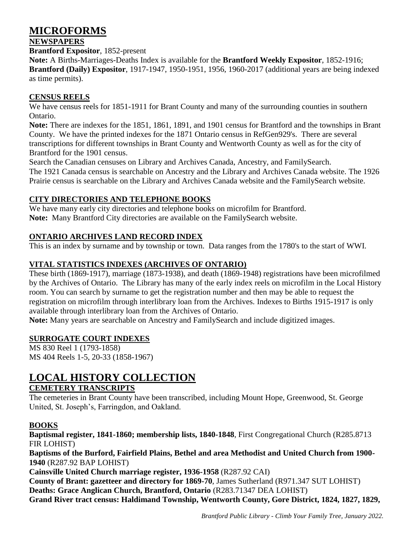# **MICROFORMS**

### **NEWSPAPERS**

**Brantford Expositor**, 1852-present

**Note:** A Births-Marriages-Deaths Index is available for the **Brantford Weekly Expositor**, 1852-1916; **Brantford (Daily) Expositor**, 1917-1947, 1950-1951, 1956, 1960-2017 (additional years are being indexed as time permits).

### **CENSUS REELS**

We have census reels for 1851-1911 for Brant County and many of the surrounding counties in southern Ontario.

**Note:** There are indexes for the 1851, 1861, 1891, and 1901 census for Brantford and the townships in Brant County. We have the printed indexes for the 1871 Ontario census in RefGen929's. There are several transcriptions for different townships in Brant County and Wentworth County as well as for the city of Brantford for the 1901 census.

Search the Canadian censuses on Library and Archives Canada, Ancestry, and FamilySearch.

The 1921 Canada census is searchable on Ancestry and the Library and Archives Canada website. The 1926 Prairie census is searchable on the Library and Archives Canada website and the FamilySearch website.

# **CITY DIRECTORIES AND TELEPHONE BOOKS**

We have many early city directories and telephone books on microfilm for Brantford. **Note:** Many Brantford City directories are available on the FamilySearch website.

# **ONTARIO ARCHIVES LAND RECORD INDEX**

This is an index by surname and by township or town. Data ranges from the 1780's to the start of WWI.

# **VITAL STATISTICS INDEXES (ARCHIVES OF ONTARIO)**

These birth (1869-1917), marriage (1873-1938), and death (1869-1948) registrations have been microfilmed by the Archives of Ontario. The Library has many of the early index reels on microfilm in the Local History room. You can search by surname to get the registration number and then may be able to request the registration on microfilm through interlibrary loan from the Archives. Indexes to Births 1915-1917 is only available through interlibrary loan from the Archives of Ontario.

**Note:** Many years are searchable on Ancestry and FamilySearch and include digitized images.

# **SURROGATE COURT INDEXES**

MS 830 Reel 1 (1793-1858) MS 404 Reels 1-5, 20-33 (1858-1967)

# **LOCAL HISTORY COLLECTION**

# **CEMETERY TRANSCRIPTS**

The cemeteries in Brant County have been transcribed, including Mount Hope, Greenwood, St. George United, St. Joseph's, Farringdon, and Oakland.

# **BOOKS**

**Baptismal register, 1841-1860; membership lists, 1840-1848**, First Congregational Church (R285.8713 FIR LOHIST)

**Baptisms of the Burford, Fairfield Plains, Bethel and area Methodist and United Church from 1900- 1940** (R287.92 BAP LOHIST)

**Cainsville United Church marriage register, 1936-1958** (R287.92 CAI)

**County of Brant: gazetteer and directory for 1869-70**, James Sutherland (R971.347 SUT LOHIST) **Deaths: Grace Anglican Church, Brantford, Ontario** (R283.71347 DEA LOHIST) **Grand River tract census: Haldimand Township, Wentworth County, Gore District, 1824, 1827, 1829,** 

*Brantford Public Library - Climb Your Family Tree, January 2022.*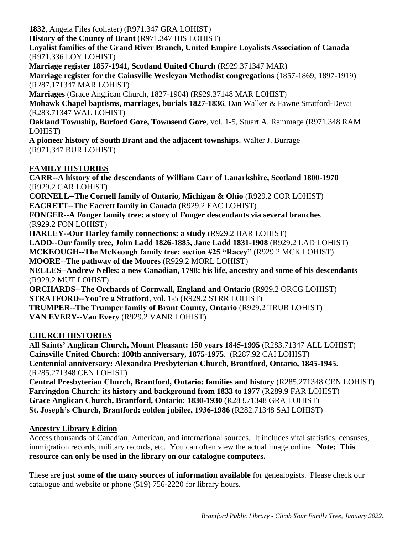**1832**, Angela Files (collater) (R971.347 GRA LOHIST)

**History of the County of Brant** (R971.347 HIS LOHIST)

**Loyalist families of the Grand River Branch, United Empire Loyalists Association of Canada** (R971.336 LOY LOHIST)

**Marriage register 1857-1941, Scotland United Church** (R929.371347 MAR) **Marriage register for the Cainsville Wesleyan Methodist congregations** (1857-1869; 1897-1919) (R287.171347 MAR LOHIST)

**Marriages** (Grace Anglican Church, 1827-1904) (R929.37148 MAR LOHIST)

**Mohawk Chapel baptisms, marriages, burials 1827-1836**, Dan Walker & Fawne Stratford-Devai (R283.71347 WAL LOHIST)

**Oakland Township, Burford Gore, Townsend Gore**, vol. 1-5, Stuart A. Rammage (R971.348 RAM LOHIST)

**A pioneer history of South Brant and the adjacent townships**, Walter J. Burrage (R971.347 BUR LOHIST)

# **FAMILY HISTORIES**

**CARR**--**A history of the descendants of William Carr of Lanarkshire, Scotland 1800-1970** (R929.2 CAR LOHIST) **CORNELL**--**The Cornell family of Ontario, Michigan & Ohio** (R929.2 COR LOHIST) **EACRETT**--**The Eacrett family in Canada** (R929.2 EAC LOHIST) **FONGER**--**A Fonger family tree: a story of Fonger descendants via several branches** (R929.2 FON LOHIST) **HARLEY--Our Harley family connections: a study** (R929.2 HAR LOHIST) **LADD**--**Our family tree, John Ladd 1826-1885, Jane Ladd 1831-1908** (R929.2 LAD LOHIST) **MCKEOUGH**--**The McKeough family tree: section #25 "Racey"** (R929.2 MCK LOHIST) **MOORE**--**The pathway of the Moores** (R929.2 MORL LOHIST) **NELLES**--**Andrew Nelles: a new Canadian, 1798: his life, ancestry and some of his descendants** (R929.2 MUT LOHIST) **ORCHARDS**--**The Orchards of Cornwall, England and Ontario** (R929.2 ORCG LOHIST) **STRATFORD**--**You're a Stratford**, vol. 1-5 (R929.2 STRR LOHIST) **TRUMPER**--**The Trumper family of Brant County, Ontario** (R929.2 TRUR LOHIST) **VAN EVERY**--**Van Every** (R929.2 VANR LOHIST)

#### **CHURCH HISTORIES**

**All Saints' Anglican Church, Mount Pleasant: 150 years 1845-1995** (R283.71347 ALL LOHIST) **Cainsville United Church: 100th anniversary, 1875-1975**. (R287.92 CAI LOHIST) **Centennial anniversary: Alexandra Presbyterian Church, Brantford, Ontario, 1845-1945.** (R285.271348 CEN LOHIST)

**Central Presbyterian Church, Brantford, Ontario: families and history** (R285.271348 CEN LOHIST) **Farringdon Church: its history and background from 1833 to 1977** (R289.9 FAR LOHIST) **Grace Anglican Church, Brantford, Ontario: 1830-1930** (R283.71348 GRA LOHIST) **St. Joseph's Church, Brantford: golden jubilee, 1936-1986** (R282.71348 SAI LOHIST)

#### **Ancestry Library Edition**

Access thousands of Canadian, American, and international sources. It includes vital statistics, censuses, immigration records, military records, etc. You can often view the actual image online. **Note: This resource can only be used in the library on our catalogue computers.**

These are **just some of the many sources of information available** for genealogists. Please check our catalogue and website or phone (519) 756-2220 for library hours.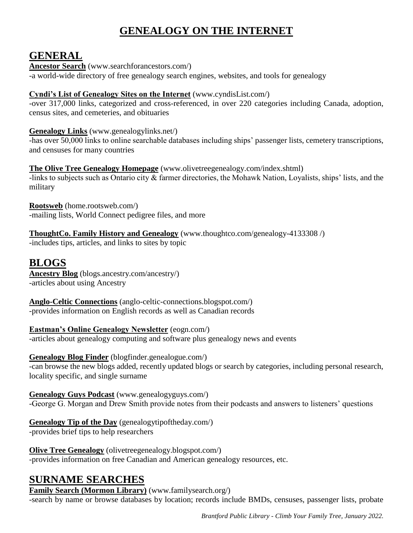# **GENEALOGY ON THE INTERNET**

# **GENERAL**

**Ancestor Search** (www.searchforancestors.com/) -a world-wide directory of free genealogy search engines, websites, and tools for genealogy

# **Cyndi's List of Genealogy Sites on the Internet** (www.cyndisList.com/)

-over 317,000 links, categorized and cross-referenced, in over 220 categories including Canada, adoption, census sites, and cemeteries, and obituaries

# **Genealogy Links** (www.genealogylinks.net/)

-has over 50,000 links to online searchable databases including ships' passenger lists, cemetery transcriptions, and censuses for many countries

# **The Olive Tree Genealogy Homepage** (www.olivetreegenealogy.com/index.shtml)

-links to subjects such as Ontario city & farmer directories, the Mohawk Nation, Loyalists, ships' lists, and the military

**Rootsweb** (home.rootsweb.com/) -mailing lists, World Connect pedigree files, and more

# **ThoughtCo. Family History and Genealogy** (www.thoughtco.com/genealogy-4133308 /)

-includes tips, articles, and links to sites by topic

# **BLOGS**

**Ancestry Blog** (blogs.ancestry.com/ancestry/) -articles about using Ancestry

**Anglo-Celtic Connections** (anglo-celtic-connections.blogspot.com/) -provides information on English records as well as Canadian records

**Eastman's Online Genealogy Newsletter** (eogn.com/) -articles about genealogy computing and software plus genealogy news and events

# **Genealogy Blog Finder** (blogfinder.genealogue.com/)

-can browse the new blogs added, recently updated blogs or search by categories, including personal research, locality specific, and single surname

**Genealogy Guys Podcast** (www.genealogyguys.com/) -George G. Morgan and Drew Smith provide notes from their podcasts and answers to listeners' questions

# **Genealogy Tip of the Day** (genealogytipoftheday.com/)

-provides brief tips to help researchers

# **Olive Tree Genealogy** (olivetreegenealogy.blogspot.com/)

-provides information on free Canadian and American genealogy resources, etc.

# **SURNAME SEARCHES**

**Family Search (Mormon Library)** (www.familysearch.org/) -search by name or browse databases by location; records include BMDs, censuses, passenger lists, probate

*Brantford Public Library - Climb Your Family Tree, January 2022.*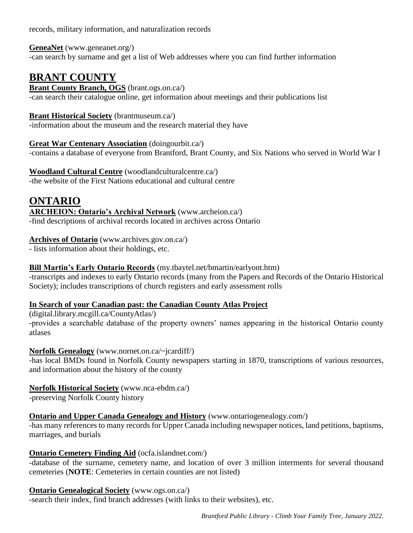records, military information, and naturalization records

**GeneaNet** (www.geneanet.org/) -can search by surname and get a list of Web addresses where you can find further information

# **BRANT COUNTY**

**Brant County Branch, OGS** (brant.ogs.on.ca/) -can search their catalogue online, get information about meetings and their publications list

# **Brant Historical Society** (brantmuseum.ca/)

-information about the museum and the research material they have

**Great War Centenary Association** (doingourbit.ca/)

-contains a database of everyone from Brantford, Brant County, and Six Nations who served in World War I

**Woodland Cultural Centre** (woodlandculturalcentre.ca/) -the website of the First Nations educational and cultural centre

# **ONTARIO**

**ARCHEION: Ontario's Archival Network** (www.archeion.ca/) -find descriptions of archival records located in archives across Ontario

# **Archives of Ontario** (www.archives.gov.on.ca/)

- lists information about their holdings, etc.

# **Bill Martin's Early Ontario Records** (my.tbaytel.net/bmartin/earlyont.htm)

-transcripts and indexes to early Ontario records (many from the Papers and Records of the Ontario Historical Society); includes transcriptions of church registers and early assessment rolls

# **In Search of your Canadian past: the Canadian County Atlas Project**

(digital.library.mcgill.ca/CountyAtlas/) -provides a searchable database of the property owners' names appearing in the historical Ontario county atlases

# **Norfolk Genealogy** (www.nornet.on.ca/~jcardiff/)

-has local BMDs found in Norfolk County newspapers starting in 1870, transcriptions of various resources, and information about the history of the county

# **Norfolk Historical Society** (www.nca-ebdm.ca/)

-preserving Norfolk County history

# **<u>Ontario and Upper Canada Genealogy and History</u>** (www.ontariogenealogy.com/)

-has many references to many records for Upper Canada including newspaper notices, land petitions, baptisms, marriages, and burials

# **Ontario Cemetery Finding Aid** (ocfa.islandnet.com/)

-database of the surname, cemetery name, and location of over 3 million interments for several thousand cemeteries (**NOTE**: Cemeteries in certain counties are not listed)

# **Ontario Genealogical Society** (www.ogs.on.ca/)

-search their index, find branch addresses (with links to their websites), etc.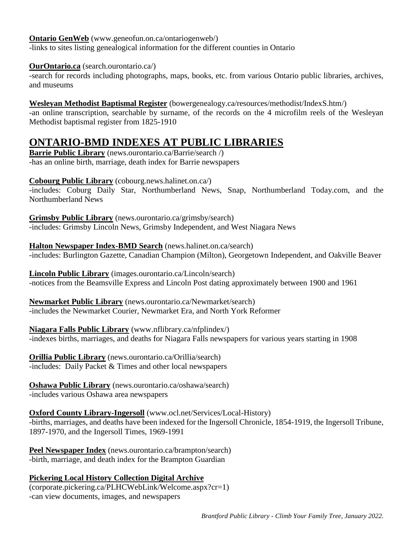#### **Ontario GenWeb** (www.geneofun.on.ca/ontariogenweb/)

-links to sites listing genealogical information for the different counties in Ontario

#### **OurOntario.ca** (search.ourontario.ca/)

-search for records including photographs, maps, books, etc. from various Ontario public libraries, archives, and museums

#### **Wesleyan Methodist Baptismal Register** (bowergenealogy.ca/resources/methodist/IndexS.htm/)

-an online transcription, searchable by surname, of the records on the 4 microfilm reels of the Wesleyan Methodist baptismal register from 1825-1910

# **ONTARIO-BMD INDEXES AT PUBLIC LIBRARIES**

**Barrie Public Library** (news.ourontario.ca/Barrie/search /) -has an online birth, marriage, death index for Barrie newspapers

#### **Cobourg Public Library** (cobourg.news.halinet.on.ca/)

-includes: Coburg Daily Star, Northumberland News, Snap, Northumberland Today.com, and the Northumberland News

**Grimsby Public Library** (news.ourontario.ca/grimsby/search) -includes: Grimsby Lincoln News, Grimsby Independent, and West Niagara News

**Halton Newspaper Index-BMD Search** (news.halinet.on.ca/search) -includes: Burlington Gazette, Canadian Champion (Milton), Georgetown Independent, and Oakville Beaver

**Lincoln Public Library** (images.ourontario.ca/Lincoln/search) -notices from the Beamsville Express and Lincoln Post dating approximately between 1900 and 1961

**Newmarket Public Library** (news.ourontario.ca/Newmarket/search) -includes the Newmarket Courier, Newmarket Era, and North York Reformer

**Niagara Falls Public Library** (www.nflibrary.ca/nfplindex/) -indexes births, marriages, and deaths for Niagara Falls newspapers for various years starting in 1908

**Orillia Public Library** (news.ourontario.ca/Orillia/search) -includes: Daily Packet & Times and other local newspapers

**Oshawa Public Library** (news.ourontario.ca/oshawa/search) -includes various Oshawa area newspapers

**Oxford County Library-Ingersoll** (www.ocl.net/Services/Local-History)

-births, marriages, and deaths have been indexed for the Ingersoll Chronicle, 1854-1919, the Ingersoll Tribune, 1897-1970, and the Ingersoll Times, 1969-1991

**Peel Newspaper Index** (news.ourontario.ca/brampton/search) -birth, marriage, and death index for the Brampton Guardian

#### **Pickering Local History Collection Digital Archive**

(corporate.pickering.ca/PLHCWebLink/Welcome.aspx?cr=1) -can view documents, images, and newspapers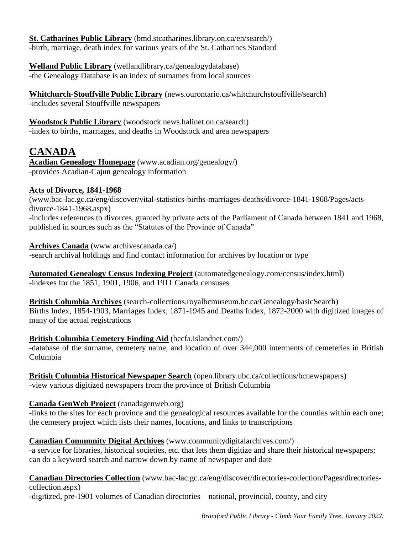**St. Catharines Public Library** (bmd.stcatharines.library.on.ca/en/search/) -birth, marriage, death index for various years of the St. Catharines Standard

**Welland Public Library** (wellandlibrary.ca/genealogydatabase) -the Genealogy Database is an index of surnames from local sources

**Whitchurch-Stouffville Public Library** (news.ourontario.ca/whitchurchstouffville/search) -includes several Stouffville newspapers

**Woodstock Public Library** (woodstock.news.halinet.on.ca/search) -index to births, marriages, and deaths in Woodstock and area newspapers

# **CANADA**

**Acadian Genealogy Homepage** (www.acadian.org/genealogy/) -provides Acadian-Cajun genealogy information

# **Acts of Divorce, 1841-1968**

(www.bac-lac.gc.ca/eng/discover/vital-statistics-births-marriages-deaths/divorce-1841-1968/Pages/actsdivorce-1841-1968.aspx) -includes references to divorces, granted by private acts of the Parliament of Canada between 1841 and 1968, published in sources such as the "Statutes of the Province of Canada"

### **Archives Canada** (www.archivescanada.ca/)

-search archival holdings and find contact information for archives by location or type

**Automated Genealogy Census Indexing Project** (automatedgenealogy.com/census/index.html) -indexes for the 1851, 1901, 1906, and 1911 Canada censuses

**British Columbia Archives** (search-collections.royalbcmuseum.bc.ca/Genealogy/basicSearch) Births Index, 1854-1903, Marriages Index, 1871-1945 and Deaths Index, 1872-2000 with digitized images of many of the actual registrations

# **British Columbia Cemetery Finding Aid** (bccfa.islandnet.com/)

-database of the surname, cemetery name, and location of over 344,000 interments of cemeteries in British Columbia

**British Columbia Historical Newspaper Search** (open.library.ubc.ca/collections/bcnewspapers) -view various digitized newspapers from the province of British Columbia

# **Canada GenWeb Project** (canadagenweb.org)

-links to the sites for each province and the genealogical resources available for the counties within each one; the cemetery project which lists their names, locations, and links to transcriptions

# **Canadian Community Digital Archives** (www.communitydigitalarchives.com/)

-a service for libraries, historical societies, etc. that lets them digitize and share their historical newspapers; can do a keyword search and narrow down by name of newspaper and date

# **Canadian Directories Collection** (www.bac-lac.gc.ca/eng/discover/directories-collection/Pages/directoriescollection.aspx)

-digitized, pre-1901 volumes of Canadian directories – national, provincial, county, and city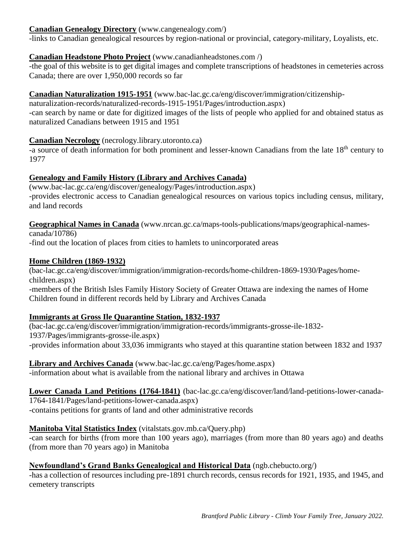#### **Canadian Genealogy Directory** (www.cangenealogy.com/)

-links to Canadian genealogical resources by region-national or provincial, category-military, Loyalists, etc.

#### **Canadian Headstone Photo Project** (www.canadianheadstones.com /)

-the goal of this website is to get digital images and complete transcriptions of headstones in cemeteries across Canada; there are over 1,950,000 records so far

### **Canadian Naturalization 1915-1951** (www.bac-lac.gc.ca/eng/discover/immigration/citizenship-

naturalization-records/naturalized-records-1915-1951/Pages/introduction.aspx) -can search by name or date for digitized images of the lists of people who applied for and obtained status as naturalized Canadians between 1915 and 1951

### **Canadian Necrology** (necrology.library.utoronto.ca)

-a source of death information for both prominent and lesser-known Canadians from the late 18<sup>th</sup> century to 1977

### **Genealogy and Family History (Library and Archives Canada)**

(www.bac-lac.gc.ca/eng/discover/genealogy/Pages/introduction.aspx) -provides electronic access to Canadian genealogical resources on various topics including census, military, and land records

**Geographical Names in Canada** (www.nrcan.gc.ca/maps-tools-publications/maps/geographical-namescanada/10786)

-find out the location of places from cities to hamlets to unincorporated areas

### **Home Children (1869-1932)**

(bac-lac.gc.ca/eng/discover/immigration/immigration-records/home-children-1869-1930/Pages/homechildren.aspx) -members of the British Isles Family History Society of Greater Ottawa are indexing the names of Home Children found in different records held by Library and Archives Canada

#### **Immigrants at Gross Ile Quarantine Station, 1832-1937**

(bac-lac.gc.ca/eng/discover/immigration/immigration-records/immigrants-grosse-ile-1832- 1937/Pages/immigrants-grosse-ile.aspx) -provides information about 33,036 immigrants who stayed at this quarantine station between 1832 and 1937

**Library and Archives Canada** (www.bac-lac.gc.ca/eng/Pages/home.aspx) -information about what is available from the national library and archives in Ottawa

**Lower Canada Land Petitions (1764-1841)** (bac-lac.gc.ca/eng/discover/land/land-petitions-lower-canada-1764-1841/Pages/land-petitions-lower-canada.aspx) -contains petitions for grants of land and other administrative records

#### **Manitoba Vital Statistics Index** (vitalstats.gov.mb.ca/Query.php)

-can search for births (from more than 100 years ago), marriages (from more than 80 years ago) and deaths (from more than 70 years ago) in Manitoba

#### **Newfoundland's Grand Banks Genealogical and Historical Data** (ngb.chebucto.org/)

-has a collection of resources including pre-1891 church records, census records for 1921, 1935, and 1945, and cemetery transcripts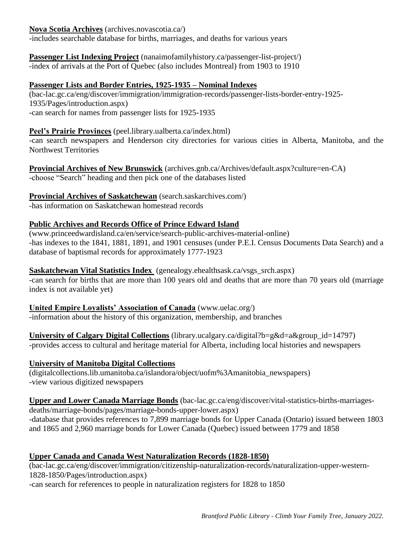#### **Nova Scotia Archives** (archives.novascotia.ca/)

-includes searchable database for births, marriages, and deaths for various years

# **Passenger List Indexing Project** (nanaimofamilyhistory.ca/passenger-list-project/)

-index of arrivals at the Port of Quebec (also includes Montreal) from 1903 to 1910

#### **Passenger Lists and Border Entries, 1925-1935 – Nominal Indexes**

(bac-lac.gc.ca/eng/discover/immigration/immigration-records/passenger-lists-border-entry-1925- 1935/Pages/introduction.aspx) -can search for names from passenger lists for 1925-1935

### **Peel's Prairie Provinces** (peel.library.ualberta.ca/index.html)

-can search newspapers and Henderson city directories for various cities in Alberta, Manitoba, and the Northwest Territories

**Provincial Archives of New Brunswick** (archives.gnb.ca/Archives/default.aspx?culture=en-CA) -choose "Search" heading and then pick one of the databases listed

### **Provincial Archives of Saskatchewan** (search.saskarchives.com/)

-has information on Saskatchewan homestead records

### **Public Archives and Records Office of Prince Edward Island**

(www.princeedwardisland.ca/en/service/search-public-archives-material-online) -has indexes to the 1841, 1881, 1891, and 1901 censuses (under P.E.I. Census Documents Data Search) and a database of baptismal records for approximately 1777-1923

### **Saskatchewan Vital Statistics Index** (genealogy.ehealthsask.ca/vsgs\_srch.aspx)

-can search for births that are more than 100 years old and deaths that are more than 70 years old (marriage index is not available yet)

#### **United Empire Loyalists' Association of Canada** (www.uelac.org/)

-information about the history of this organization, membership, and branches

**University of Calgary Digital Collections** (library.ucalgary.ca/digital?b=g&d=a&group\_id=14797) -provides access to cultural and heritage material for Alberta, including local histories and newspapers

#### **University of Manitoba Digital Collections**

(digitalcollections.lib.umanitoba.ca/islandora/object/uofm%3Amanitobia\_newspapers) -view various digitized newspapers

**Upper and Lower Canada Marriage Bonds** (bac-lac.gc.ca/eng/discover/vital-statistics-births-marriagesdeaths/marriage-bonds/pages/marriage-bonds-upper-lower.aspx) -database that provides references to 7,899 marriage bonds for Upper Canada (Ontario) issued between 1803 and 1865 and 2,960 marriage bonds for Lower Canada (Quebec) issued between 1779 and 1858

# **Upper Canada and Canada West Naturalization Records (1828-1850)**

(bac-lac.gc.ca/eng/discover/immigration/citizenship-naturalization-records/naturalization-upper-western-1828-1850/Pages/introduction.aspx)

-can search for references to people in naturalization registers for 1828 to 1850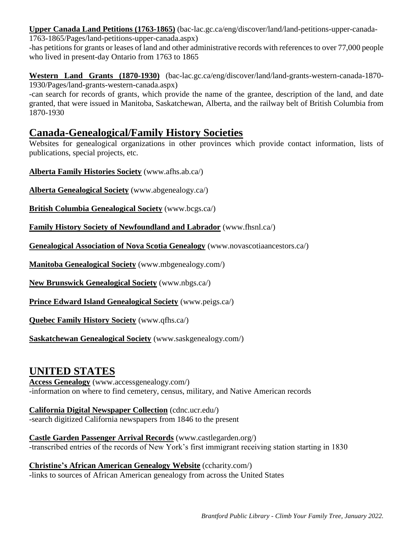**Upper Canada Land Petitions (1763-1865)** (bac-lac.gc.ca/eng/discover/land/land-petitions-upper-canada-

1763-1865/Pages/land-petitions-upper-canada.aspx)

-has petitions for grants or leases of land and other administrative records with references to over 77,000 people who lived in present-day Ontario from 1763 to 1865

**Western Land Grants (1870-1930)** (bac-lac.gc.ca/eng/discover/land/land-grants-western-canada-1870- 1930/Pages/land-grants-western-canada.aspx)

-can search for records of grants, which provide the name of the grantee, description of the land, and date granted, that were issued in Manitoba, Saskatchewan, Alberta, and the railway belt of British Columbia from 1870-1930

# **Canada-Genealogical/Family History Societies**

Websites for genealogical organizations in other provinces which provide contact information, lists of publications, special projects, etc.

**Alberta Family Histories Society** (www.afhs.ab.ca/)

**Alberta Genealogical Society** (www.abgenealogy.ca/)

**British Columbia Genealogical Society** (www.bcgs.ca/)

**Family History Society of Newfoundland and Labrador** (www.fhsnl.ca/)

**Genealogical Association of Nova Scotia Genealogy** (www.novascotiaancestors.ca/)

**Manitoba Genealogical Society** (www.mbgenealogy.com/)

**New Brunswick Genealogical Society** (www.nbgs.ca/)

**Prince Edward Island Genealogical Society** (www.peigs.ca/)

**Quebec Family History Society** (www.qfhs.ca/)

**Saskatchewan Genealogical Society** (www.saskgenealogy.com/)

# **UNITED STATES**

**Access Genealogy** (www.accessgenealogy.com/) -information on where to find cemetery, census, military, and Native American records

**California Digital Newspaper Collection** (cdnc.ucr.edu/) -search digitized California newspapers from 1846 to the present

**Castle Garden Passenger Arrival Records** (www.castlegarden.org/) -transcribed entries of the records of New York's first immigrant receiving station starting in 1830

**Christine's African American Genealogy Website** (ccharity.com/) -links to sources of African American genealogy from across the United States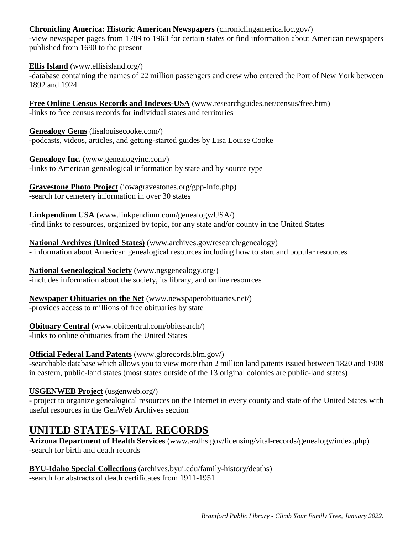#### **Chronicling America: Historic American Newspapers** (chroniclingamerica.loc.gov/)

-view newspaper pages from 1789 to 1963 for certain states or find information about American newspapers published from 1690 to the present

**Ellis Island** (www.ellisisland.org/)

-database containing the names of 22 million passengers and crew who entered the Port of New York between 1892 and 1924

**Free Online Census Records and Indexes-USA** (www.researchguides.net/census/free.htm) -links to free census records for individual states and territories

**Genealogy Gems** (lisalouisecooke.com/) -podcasts, videos, articles, and getting-started guides by Lisa Louise Cooke

**Genealogy Inc.** (www.genealogyinc.com/) -links to American genealogical information by state and by source type

**Gravestone Photo Project** (iowagravestones.org/gpp-info.php) -search for cemetery information in over 30 states

**Linkpendium USA** (www.linkpendium.com/genealogy/USA/) -find links to resources, organized by topic, for any state and/or county in the United States

**National Archives (United States)** (www.archives.gov/research/genealogy) - information about American genealogical resources including how to start and popular resources

**National Genealogical Society** (www.ngsgenealogy.org/) -includes information about the society, its library, and online resources

**Newspaper Obituaries on the Net** (www.newspaperobituaries.net/) -provides access to millions of free obituaries by state

# **Obituary Central** (www.obitcentral.com/obitsearch/)

-links to online obituaries from the United States

#### **Official Federal Land Patents** (www.glorecords.blm.gov/)

-searchable database which allows you to view more than 2 million land patents issued between 1820 and 1908 in eastern, public-land states (most states outside of the 13 original colonies are public-land states)

# **USGENWEB Project** (usgenweb.org/)

- project to organize genealogical resources on the Internet in every county and state of the United States with useful resources in the GenWeb Archives section

# **UNITED STATES-VITAL RECORDS**

**Arizona Department of Health Services** (www.azdhs.gov/licensing/vital-records/genealogy/index.php) -search for birth and death records

**BYU-Idaho Special Collections** (archives.byui.edu/family-history/deaths) -search for abstracts of death certificates from 1911-1951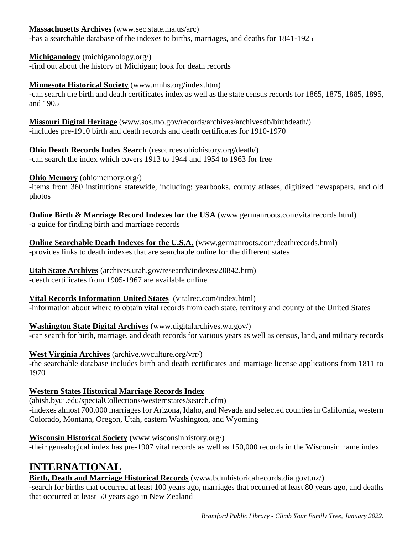**Massachusetts Archives** (www.sec.state.ma.us/arc)

-has a searchable database of the indexes to births, marriages, and deaths for 1841-1925

**Michiganology** (michiganology.org/)

-find out about the history of Michigan; look for death records

### **Minnesota Historical Society** (www.mnhs.org/index.htm)

-can search the birth and death certificates index as well as the state census records for 1865, 1875, 1885, 1895, and 1905

**Missouri Digital Heritage** (www.sos.mo.gov/records/archives/archivesdb/birthdeath/) -includes pre-1910 birth and death records and death certificates for 1910-1970

**Ohio Death Records Index Search** (resources.ohiohistory.org/death/) -can search the index which covers 1913 to 1944 and 1954 to 1963 for free

### **Ohio Memory** (ohiomemory.org/)

-items from 360 institutions statewide, including: yearbooks, county atlases, digitized newspapers, and old photos

**Online Birth & Marriage Record Indexes for the USA** (www.germanroots.com/vitalrecords.html) -a guide for finding birth and marriage records

**Online Searchable Death Indexes for the U.S.A.** (www.germanroots.com/deathrecords.html) -provides links to death indexes that are searchable online for the different states

**Utah State Archives** (archives.utah.gov/research/indexes/20842.htm) -death certificates from 1905-1967 are available online

**Vital Records Information United States** (vitalrec.com/index.html) -information about where to obtain vital records from each state, territory and county of the United States

**Washington State Digital Archives** (www.digitalarchives.wa.gov/) -can search for birth, marriage, and death records for various years as well as census, land, and military records

**West Virginia Archives** (archive.wvculture.org/vrr/)

-the searchable database includes birth and death certificates and marriage license applications from 1811 to 1970

# **Western States Historical Marriage Records Index**

(abish.byui.edu/specialCollections/westernstates/search.cfm) -indexes almost 700,000 marriages for Arizona, Idaho, and Nevada and selected counties in California, western Colorado, Montana, Oregon, Utah, eastern Washington, and Wyoming

**Wisconsin Historical Society** (www.wisconsinhistory.org/) -their genealogical index has pre-1907 vital records as well as 150,000 records in the Wisconsin name index

# **INTERNATIONAL**

**Birth, Death and Marriage Historical Records** (www.bdmhistoricalrecords.dia.govt.nz/)

-search for births that occurred at least 100 years ago, marriages that occurred at least 80 years ago, and deaths that occurred at least 50 years ago in New Zealand

*Brantford Public Library - Climb Your Family Tree, January 2022.*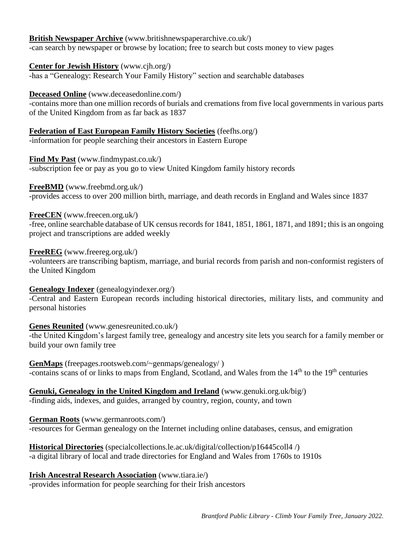### **British Newspaper Archive** (www.britishnewspaperarchive.co.uk/)

-can search by newspaper or browse by location; free to search but costs money to view pages

#### **Center for Jewish History** (www.cjh.org/)

-has a "Genealogy: Research Your Family History" section and searchable databases

#### **Deceased Online** (www.deceasedonline.com/)

-contains more than one million records of burials and cremations from five local governments in various parts of the United Kingdom from as far back as 1837

#### **Federation of East European Family History Societies** (feefhs.org/)

-information for people searching their ancestors in Eastern Europe

#### **Find My Past** (www.findmypast.co.uk/)

-subscription fee or pay as you go to view United Kingdom family history records

#### **FreeBMD** (www.freebmd.org.uk/)

-provides access to over 200 million birth, marriage, and death records in England and Wales since 1837

#### **FreeCEN** (www.freecen.org.uk/)

-free, online searchable database of UK census records for 1841, 1851, 1861, 1871, and 1891; this is an ongoing project and transcriptions are added weekly

#### **FreeREG** (www.freereg.org.uk/)

-volunteers are transcribing baptism, marriage, and burial records from parish and non-conformist registers of the United Kingdom

#### **Genealogy Indexer** (genealogyindexer.org/)

-Central and Eastern European records including historical directories, military lists, and community and personal histories

#### **Genes Reunited** (www.genesreunited.co.uk/)

-the United Kingdom's largest family tree, genealogy and ancestry site lets you search for a family member or build your own family tree

**GenMaps** (freepages.rootsweb.com/~genmaps/genealogy/ ) -contains scans of or links to maps from England, Scotland, and Wales from the 14<sup>th</sup> to the 19<sup>th</sup> centuries

# **Genuki, Genealogy in the United Kingdom and Ireland** (www.genuki.org.uk/big/)

-finding aids, indexes, and guides, arranged by country, region, county, and town

#### **German Roots** (www.germanroots.com/)

-resources for German genealogy on the Internet including online databases, census, and emigration

#### **Historical Directories** (specialcollections.le.ac.uk/digital/collection/p16445coll4 /) -a digital library of local and trade directories for England and Wales from 1760s to 1910s

#### **Irish Ancestral Research Association** (www.tiara.ie/)

-provides information for people searching for their Irish ancestors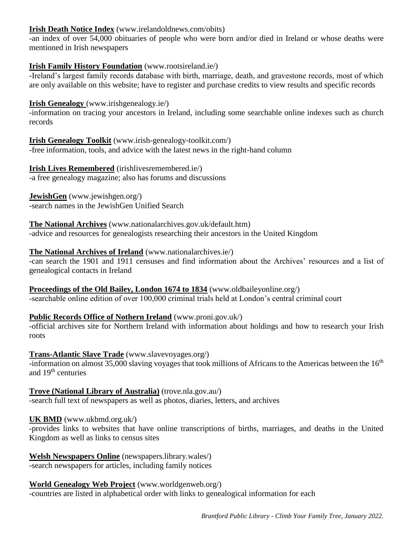### **Irish Death Notice Index** (www.irelandoldnews.com/obits)

-an index of over 54,000 obituaries of people who were born and/or died in Ireland or whose deaths were mentioned in Irish newspapers

#### **Irish Family History Foundation** (www.rootsireland.ie/)

-Ireland's largest family records database with birth, marriage, death, and gravestone records, most of which are only available on this website; have to register and purchase credits to view results and specific records

#### **Irish Genealogy** (www.irishgenealogy.ie/)

-information on tracing your ancestors in Ireland, including some searchable online indexes such as church records

#### **Irish Genealogy Toolkit** (www.irish-genealogy-toolkit.com/)

-free information, tools, and advice with the latest news in the right-hand column

#### **Irish Lives Remembered** (irishlivesremembered.ie/)

-a free genealogy magazine; also has forums and discussions

#### **JewishGen** (www.jewishgen.org/) -search names in the JewishGen Unified Search

# **The National Archives** (www.nationalarchives.gov.uk/default.htm)

-advice and resources for genealogists researching their ancestors in the United Kingdom

#### **The National Archives of Ireland** (www.nationalarchives.ie/)

-can search the 1901 and 1911 censuses and find information about the Archives' resources and a list of genealogical contacts in Ireland

### **Proceedings of the Old Bailey, London 1674 to 1834** (www.oldbaileyonline.org/) -searchable online edition of over 100,000 criminal trials held at London's central criminal court

#### **Public Records Office of Nothern Ireland** (www.proni.gov.uk/)

-official archives site for Northern Ireland with information about holdings and how to research your Irish roots

#### **Trans-Atlantic Slave Trade** (www.slavevoyages.org/)

-information on almost 35,000 slaving voyages that took millions of Africans to the Americas between the  $16<sup>th</sup>$ and 19<sup>th</sup> centuries

# **Trove (National Library of Australia)** (trove.nla.gov.au/)

-search full text of newspapers as well as photos, diaries, letters, and archives

#### **UK BMD** (www.ukbmd.org.uk/)

-provides links to websites that have online transcriptions of births, marriages, and deaths in the United Kingdom as well as links to census sites

**Welsh Newspapers Online** (newspapers.library.wales/) -search newspapers for articles, including family notices

# **World Genealogy Web Project** (www.worldgenweb.org/)

-countries are listed in alphabetical order with links to genealogical information for each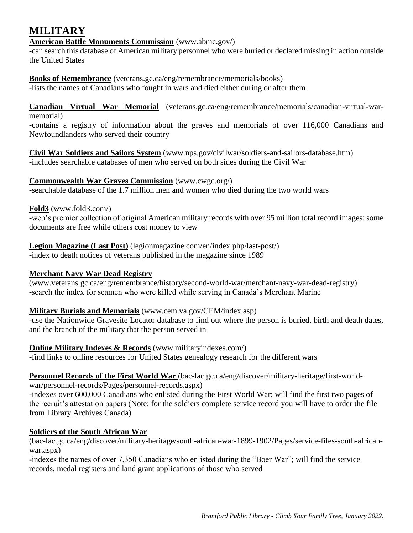# **MILITARY**

### **American Battle Monuments Commission** (www.abmc.gov/)

-can search this database of American military personnel who were buried or declared missing in action outside the United States

**Books of Remembrance** (veterans.gc.ca/eng/remembrance/memorials/books) -lists the names of Canadians who fought in wars and died either during or after them

**Canadian Virtual War Memorial** (veterans.gc.ca/eng/remembrance/memorials/canadian-virtual-warmemorial)

-contains a registry of information about the graves and memorials of over 116,000 Canadians and Newfoundlanders who served their country

**Civil War Soldiers and Sailors System** (www.nps.gov/civilwar/soldiers-and-sailors-database.htm) -includes searchable databases of men who served on both sides during the Civil War

#### **Commonwealth War Graves Commission** (www.cwgc.org/)

-searchable database of the 1.7 million men and women who died during the two world wars

#### **Fold3** (www.fold3.com/)

-web's premier collection of original American military records with over 95 million total record images; some documents are free while others cost money to view

# **Legion Magazine (Last Post)** (legionmagazine.com/en/index.php/last-post/)

-index to death notices of veterans published in the magazine since 1989

#### **Merchant Navy War Dead Registry**

(www.veterans.gc.ca/eng/remembrance/history/second-world-war/merchant-navy-war-dead-registry) -search the index for seamen who were killed while serving in Canada's Merchant Marine

#### **Military Burials and Memorials** (www.cem.va.gov/CEM/index.asp)

-use the Nationwide Gravesite Locator database to find out where the person is buried, birth and death dates, and the branch of the military that the person served in

**Online Military Indexes & Records** (www.militaryindexes.com/)

-find links to online resources for United States genealogy research for the different wars

**Personnel Records of the First World War** (bac-lac.gc.ca/eng/discover/military-heritage/first-world-

war/personnel-records/Pages/personnel-records.aspx)

-indexes over 600,000 Canadians who enlisted during the First World War; will find the first two pages of the recruit's attestation papers (Note: for the soldiers complete service record you will have to order the file from Library Archives Canada)

# **Soldiers of the South African War**

(bac-lac.gc.ca/eng/discover/military-heritage/south-african-war-1899-1902/Pages/service-files-south-africanwar.aspx)

-indexes the names of over 7,350 Canadians who enlisted during the "Boer War"; will find the service records, medal registers and land grant applications of those who served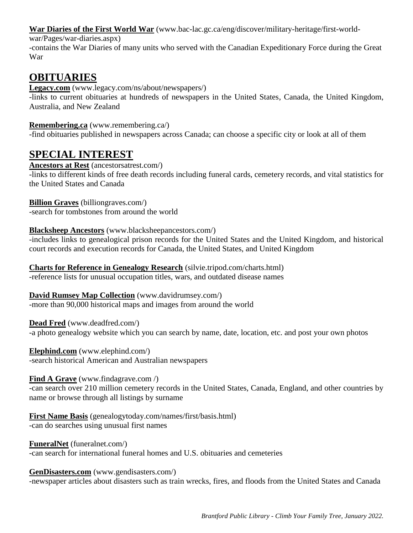**War Diaries of the First World War** (www.bac-lac.gc.ca/eng/discover/military-heritage/first-world-

war/Pages/war-diaries.aspx)

-contains the War Diaries of many units who served with the Canadian Expeditionary Force during the Great War

# **OBITUARIES**

**Legacy.com** (www.legacy.com/ns/about/newspapers/)

-links to current obituaries at hundreds of newspapers in the United States, Canada, the United Kingdom, Australia, and New Zealand

# **Remembering.ca** (www.remembering.ca/)

-find obituaries published in newspapers across Canada; can choose a specific city or look at all of them

# **SPECIAL INTEREST**

# **Ancestors at Rest** (ancestorsatrest.com/)

-links to different kinds of free death records including funeral cards, cemetery records, and vital statistics for the United States and Canada

### **Billion Graves** (billiongraves.com/)

-search for tombstones from around the world

# **Blacksheep Ancestors** (www.blacksheepancestors.com/)

-includes links to genealogical prison records for the United States and the United Kingdom, and historical court records and execution records for Canada, the United States, and United Kingdom

**Charts for Reference in Genealogy Research** (silvie.tripod.com/charts.html) -reference lists for unusual occupation titles, wars, and outdated disease names

**David Rumsey Map Collection** (www.davidrumsey.com/) -more than 90,000 historical maps and images from around the world

**Dead Fred** (www.deadfred.com/) -a photo genealogy website which you can search by name, date, location, etc. and post your own photos

**Elephind.com** (www.elephind.com/) -search historical American and Australian newspapers

# **Find A Grave** (www.findagrave.com /)

-can search over 210 million cemetery records in the United States, Canada, England, and other countries by name or browse through all listings by surname

**First Name Basis** (genealogytoday.com/names/first/basis.html) -can do searches using unusual first names

**FuneralNet** (funeralnet.com/) -can search for international funeral homes and U.S. obituaries and cemeteries

# **GenDisasters.com** (www.gendisasters.com/)

-newspaper articles about disasters such as train wrecks, fires, and floods from the United States and Canada